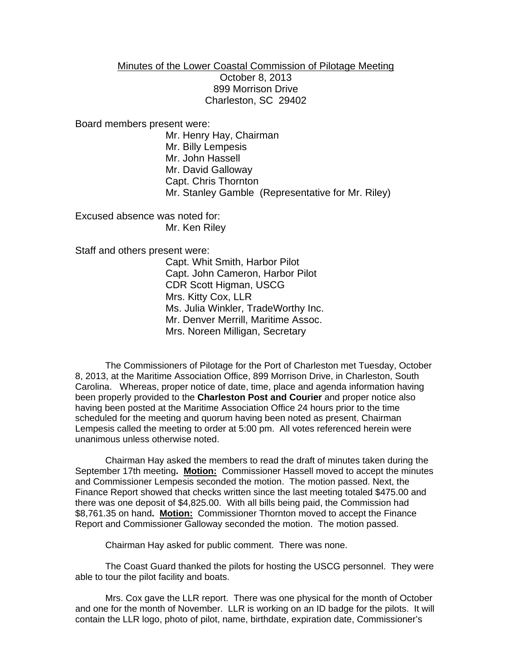## Minutes of the Lower Coastal Commission of Pilotage Meeting October 8, 2013 899 Morrison Drive Charleston, SC 29402

Board members present were:

Mr. Henry Hay, Chairman Mr. Billy Lempesis Mr. John Hassell Mr. David Galloway Capt. Chris Thornton Mr. Stanley Gamble (Representative for Mr. Riley)

Excused absence was noted for: Mr. Ken Riley

Staff and others present were:

Capt. Whit Smith, Harbor Pilot Capt. John Cameron, Harbor Pilot CDR Scott Higman, USCG Mrs. Kitty Cox, LLR Ms. Julia Winkler, TradeWorthy Inc. Mr. Denver Merrill, Maritime Assoc. Mrs. Noreen Milligan, Secretary

The Commissioners of Pilotage for the Port of Charleston met Tuesday, October 8, 2013, at the Maritime Association Office, 899 Morrison Drive, in Charleston, South Carolina. Whereas, proper notice of date, time, place and agenda information having been properly provided to the **Charleston Post and Courier** and proper notice also having been posted at the Maritime Association Office 24 hours prior to the time scheduled for the meeting and quorum having been noted as present, Chairman Lempesis called the meeting to order at 5:00 pm. All votes referenced herein were unanimous unless otherwise noted.

Chairman Hay asked the members to read the draft of minutes taken during the September 17th meeting**. Motion:** Commissioner Hassell moved to accept the minutes and Commissioner Lempesis seconded the motion. The motion passed. Next, the Finance Report showed that checks written since the last meeting totaled \$475.00 and there was one deposit of \$4,825.00. With all bills being paid, the Commission had \$8,761.35 on hand**. Motion:** Commissioner Thornton moved to accept the Finance Report and Commissioner Galloway seconded the motion. The motion passed.

Chairman Hay asked for public comment. There was none.

The Coast Guard thanked the pilots for hosting the USCG personnel. They were able to tour the pilot facility and boats.

Mrs. Cox gave the LLR report. There was one physical for the month of October and one for the month of November. LLR is working on an ID badge for the pilots. It will contain the LLR logo, photo of pilot, name, birthdate, expiration date, Commissioner's